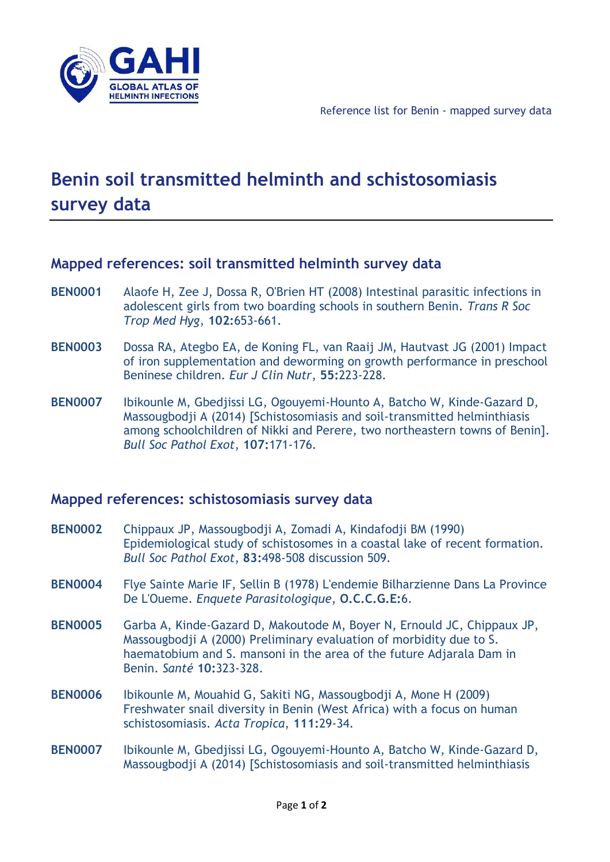

## **Benin soil transmitted helminth and schistosomiasis survey data**

## **Mapped references: soil transmitted helminth survey data**

- **BEN0001** Alaofe H, Zee J, Dossa R, O'Brien HT (2008) Intestinal parasitic infections in adolescent girls from two boarding schools in southern Benin. *Trans R Soc Trop Med Hyg*, **102:**653-661.
- **BEN0003** Dossa RA, Ategbo EA, de Koning FL, van Raaij JM, Hautvast JG (2001) Impact of iron supplementation and deworming on growth performance in preschool Beninese children. *Eur J Clin Nutr*, **55:**223-228.
- **BEN0007** Ibikounle M, Gbedjissi LG, Ogouyemi-Hounto A, Batcho W, Kinde-Gazard D, Massougbodji A (2014) [Schistosomiasis and soil-transmitted helminthiasis among schoolchildren of Nikki and Perere, two northeastern towns of Benin]. *Bull Soc Pathol Exot*, **107:**171-176.

## **Mapped references: schistosomiasis survey data**

- **BEN0002** Chippaux JP, Massougbodji A, Zomadi A, Kindafodji BM (1990) Epidemiological study of schistosomes in a coastal lake of recent formation. *Bull Soc Pathol Exot*, **83:**498-508 discussion 509.
- **BEN0004** Flye Sainte Marie IF, Sellin B (1978) L'endemie Bilharzienne Dans La Province De L'Oueme. *Enquete Parasitologique*, **O.C.C.G.E:**6.
- **BEN0005** Garba A, Kinde-Gazard D, Makoutode M, Boyer N, Ernould JC, Chippaux JP, Massougbodji A (2000) Preliminary evaluation of morbidity due to S. haematobium and S. mansoni in the area of the future Adjarala Dam in Benin. *Santé* **10:**323-328.
- **BEN0006** Ibikounle M, Mouahid G, Sakiti NG, Massougbodji A, Mone H (2009) Freshwater snail diversity in Benin (West Africa) with a focus on human schistosomiasis. *Acta Tropica*, **111:**29-34.
- **BEN0007** Ibikounle M, Gbedjissi LG, Ogouyemi-Hounto A, Batcho W, Kinde-Gazard D, Massougbodji A (2014) [Schistosomiasis and soil-transmitted helminthiasis